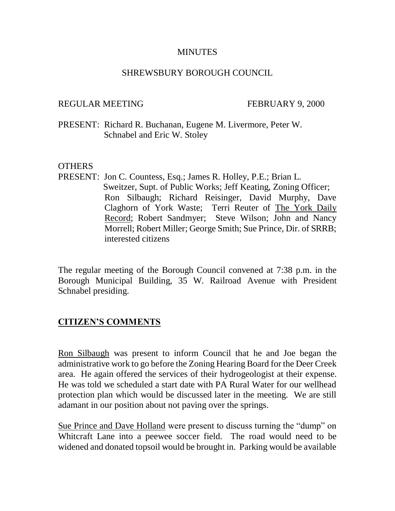#### **MINUTES**

### SHREWSBURY BOROUGH COUNCIL

### REGULAR MEETING FEBRUARY 9, 2000

PRESENT: Richard R. Buchanan, Eugene M. Livermore, Peter W. Schnabel and Eric W. Stoley

#### **OTHERS**

PRESENT: Jon C. Countess, Esq.; James R. Holley, P.E.; Brian L. Sweitzer, Supt. of Public Works; Jeff Keating, Zoning Officer; Ron Silbaugh; Richard Reisinger, David Murphy, Dave Claghorn of York Waste; Terri Reuter of The York Daily Record; Robert Sandmyer; Steve Wilson; John and Nancy Morrell; Robert Miller; George Smith; Sue Prince, Dir. of SRRB; interested citizens

The regular meeting of the Borough Council convened at 7:38 p.m. in the Borough Municipal Building, 35 W. Railroad Avenue with President Schnabel presiding.

## **CITIZEN'S COMMENTS**

Ron Silbaugh was present to inform Council that he and Joe began the administrative work to go before the Zoning Hearing Board for the Deer Creek area. He again offered the services of their hydrogeologist at their expense. He was told we scheduled a start date with PA Rural Water for our wellhead protection plan which would be discussed later in the meeting. We are still adamant in our position about not paving over the springs.

Sue Prince and Dave Holland were present to discuss turning the "dump" on Whitcraft Lane into a peewee soccer field. The road would need to be widened and donated topsoil would be brought in. Parking would be available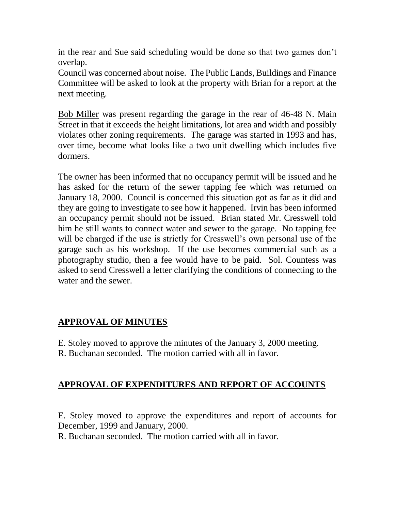in the rear and Sue said scheduling would be done so that two games don't overlap.

Council was concerned about noise. The Public Lands, Buildings and Finance Committee will be asked to look at the property with Brian for a report at the next meeting.

Bob Miller was present regarding the garage in the rear of 46-48 N. Main Street in that it exceeds the height limitations, lot area and width and possibly violates other zoning requirements. The garage was started in 1993 and has, over time, become what looks like a two unit dwelling which includes five dormers.

The owner has been informed that no occupancy permit will be issued and he has asked for the return of the sewer tapping fee which was returned on January 18, 2000. Council is concerned this situation got as far as it did and they are going to investigate to see how it happened. Irvin has been informed an occupancy permit should not be issued. Brian stated Mr. Cresswell told him he still wants to connect water and sewer to the garage. No tapping fee will be charged if the use is strictly for Cresswell's own personal use of the garage such as his workshop. If the use becomes commercial such as a photography studio, then a fee would have to be paid. Sol. Countess was asked to send Cresswell a letter clarifying the conditions of connecting to the water and the sewer.

## **APPROVAL OF MINUTES**

- E. Stoley moved to approve the minutes of the January 3, 2000 meeting.
- R. Buchanan seconded. The motion carried with all in favor.

# **APPROVAL OF EXPENDITURES AND REPORT OF ACCOUNTS**

E. Stoley moved to approve the expenditures and report of accounts for December, 1999 and January, 2000.

R. Buchanan seconded. The motion carried with all in favor.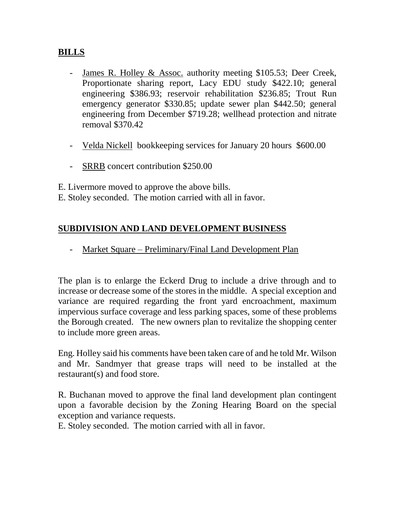## **BILLS**

- James R. Holley & Assoc. authority meeting \$105.53; Deer Creek, Proportionate sharing report, Lacy EDU study \$422.10; general engineering \$386.93; reservoir rehabilitation \$236.85; Trout Run emergency generator \$330.85; update sewer plan \$442.50; general engineering from December \$719.28; wellhead protection and nitrate removal \$370.42
- Velda Nickell bookkeeping services for January 20 hours \$600.00
- SRRB concert contribution \$250.00

E. Livermore moved to approve the above bills.

E. Stoley seconded. The motion carried with all in favor.

## **SUBDIVISION AND LAND DEVELOPMENT BUSINESS**

- Market Square – Preliminary/Final Land Development Plan

The plan is to enlarge the Eckerd Drug to include a drive through and to increase or decrease some of the stores in the middle. A special exception and variance are required regarding the front yard encroachment, maximum impervious surface coverage and less parking spaces, some of these problems the Borough created. The new owners plan to revitalize the shopping center to include more green areas.

Eng. Holley said his comments have been taken care of and he told Mr. Wilson and Mr. Sandmyer that grease traps will need to be installed at the restaurant(s) and food store.

R. Buchanan moved to approve the final land development plan contingent upon a favorable decision by the Zoning Hearing Board on the special exception and variance requests.

E. Stoley seconded. The motion carried with all in favor.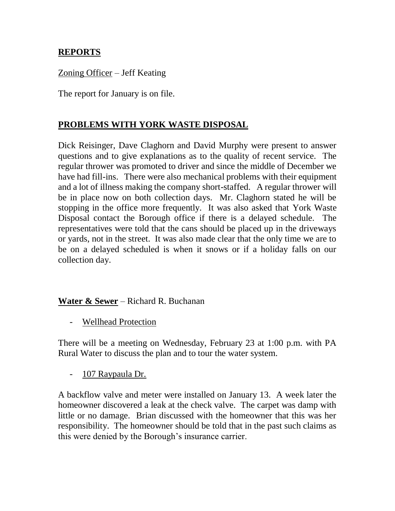## **REPORTS**

## Zoning Officer – Jeff Keating

The report for January is on file.

## **PROBLEMS WITH YORK WASTE DISPOSAL**

Dick Reisinger, Dave Claghorn and David Murphy were present to answer questions and to give explanations as to the quality of recent service. The regular thrower was promoted to driver and since the middle of December we have had fill-ins. There were also mechanical problems with their equipment and a lot of illness making the company short-staffed. A regular thrower will be in place now on both collection days. Mr. Claghorn stated he will be stopping in the office more frequently. It was also asked that York Waste Disposal contact the Borough office if there is a delayed schedule. The representatives were told that the cans should be placed up in the driveways or yards, not in the street. It was also made clear that the only time we are to be on a delayed scheduled is when it snows or if a holiday falls on our collection day.

## **Water & Sewer** – Richard R. Buchanan

- Wellhead Protection

There will be a meeting on Wednesday, February 23 at 1:00 p.m. with PA Rural Water to discuss the plan and to tour the water system.

- 107 Raypaula Dr.

A backflow valve and meter were installed on January 13. A week later the homeowner discovered a leak at the check valve. The carpet was damp with little or no damage. Brian discussed with the homeowner that this was her responsibility. The homeowner should be told that in the past such claims as this were denied by the Borough's insurance carrier.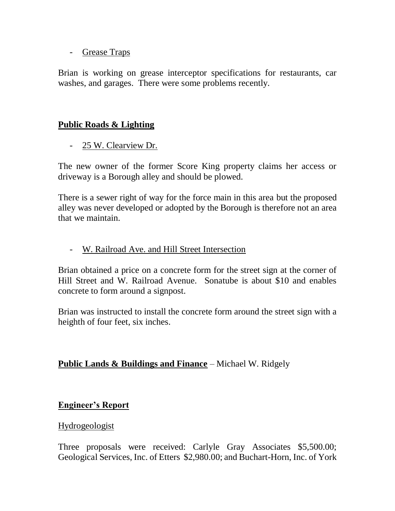- Grease Traps

Brian is working on grease interceptor specifications for restaurants, car washes, and garages. There were some problems recently.

## **Public Roads & Lighting**

- 25 W. Clearview Dr.

The new owner of the former Score King property claims her access or driveway is a Borough alley and should be plowed.

There is a sewer right of way for the force main in this area but the proposed alley was never developed or adopted by the Borough is therefore not an area that we maintain.

## - W. Railroad Ave. and Hill Street Intersection

Brian obtained a price on a concrete form for the street sign at the corner of Hill Street and W. Railroad Avenue. Sonatube is about \$10 and enables concrete to form around a signpost.

Brian was instructed to install the concrete form around the street sign with a heighth of four feet, six inches.

### **Public Lands & Buildings and Finance** – Michael W. Ridgely

### **Engineer's Report**

### Hydrogeologist

Three proposals were received: Carlyle Gray Associates \$5,500.00; Geological Services, Inc. of Etters \$2,980.00; and Buchart-Horn, Inc. of York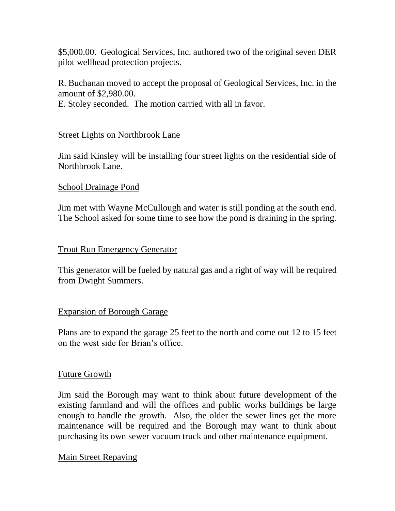\$5,000.00. Geological Services, Inc. authored two of the original seven DER pilot wellhead protection projects.

R. Buchanan moved to accept the proposal of Geological Services, Inc. in the amount of \$2,980.00.

E. Stoley seconded. The motion carried with all in favor.

### Street Lights on Northbrook Lane

Jim said Kinsley will be installing four street lights on the residential side of Northbrook Lane.

#### School Drainage Pond

Jim met with Wayne McCullough and water is still ponding at the south end. The School asked for some time to see how the pond is draining in the spring.

#### Trout Run Emergency Generator

This generator will be fueled by natural gas and a right of way will be required from Dwight Summers.

### Expansion of Borough Garage

Plans are to expand the garage 25 feet to the north and come out 12 to 15 feet on the west side for Brian's office.

#### Future Growth

Jim said the Borough may want to think about future development of the existing farmland and will the offices and public works buildings be large enough to handle the growth. Also, the older the sewer lines get the more maintenance will be required and the Borough may want to think about purchasing its own sewer vacuum truck and other maintenance equipment.

### Main Street Repaving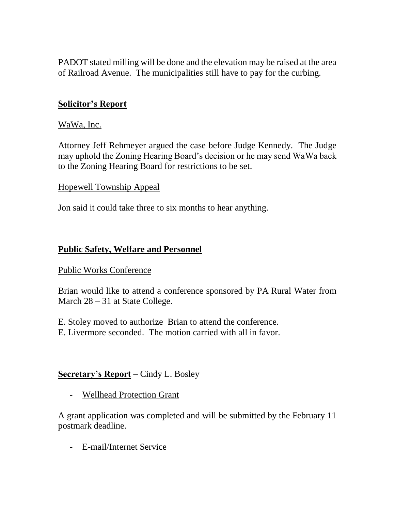PADOT stated milling will be done and the elevation may be raised at the area of Railroad Avenue. The municipalities still have to pay for the curbing.

## **Solicitor's Report**

#### WaWa, Inc.

Attorney Jeff Rehmeyer argued the case before Judge Kennedy. The Judge may uphold the Zoning Hearing Board's decision or he may send WaWa back to the Zoning Hearing Board for restrictions to be set.

#### Hopewell Township Appeal

Jon said it could take three to six months to hear anything.

### **Public Safety, Welfare and Personnel**

#### Public Works Conference

Brian would like to attend a conference sponsored by PA Rural Water from March  $28 - 31$  at State College.

- E. Stoley moved to authorize Brian to attend the conference.
- E. Livermore seconded. The motion carried with all in favor.

### **Secretary's Report** – Cindy L. Bosley

- Wellhead Protection Grant

A grant application was completed and will be submitted by the February 11 postmark deadline.

- E-mail/Internet Service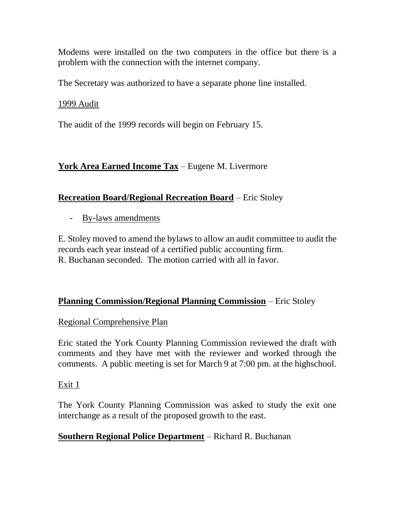Modems were installed on the two computers in the office but there is a problem with the connection with the internet company.

The Secretary was authorized to have a separate phone line installed.

1999 Audit

The audit of the 1999 records will begin on February 15.

## **York Area Earned Income Tax** – Eugene M. Livermore

## **Recreation Board/Regional Recreation Board** – Eric Stoley

- By-laws amendments

E. Stoley moved to amend the bylaws to allow an audit committee to audit the records each year instead of a certified public accounting firm. R. Buchanan seconded. The motion carried with all in favor.

## **Planning Commission/Regional Planning Commission** – Eric Stoley

## Regional Comprehensive Plan

Eric stated the York County Planning Commission reviewed the draft with comments and they have met with the reviewer and worked through the comments. A public meeting is set for March 9 at 7:00 pm. at the highschool.

## Exit 1

The York County Planning Commission was asked to study the exit one interchange as a result of the proposed growth to the east.

## **Southern Regional Police Department** – Richard R. Buchanan